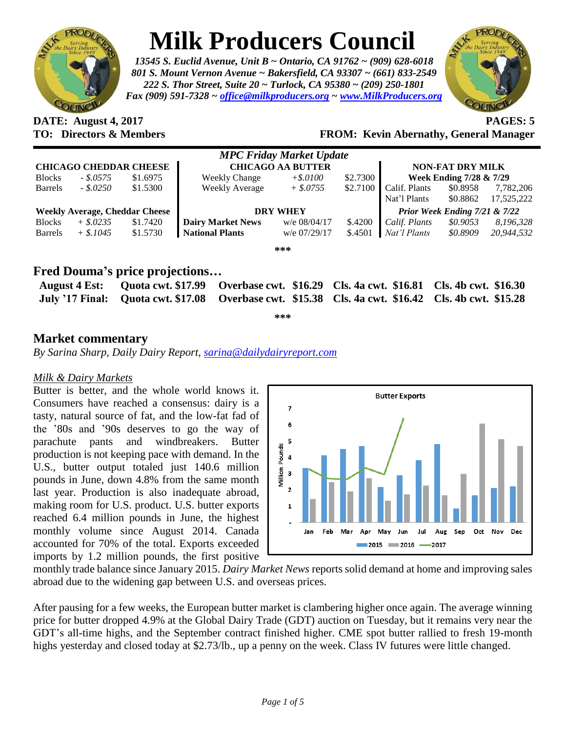

# **Milk Producers Council**

*13545 S. Euclid Avenue, Unit B ~ Ontario, CA 91762 ~ (909) 628-6018 801 S. Mount Vernon Avenue ~ Bakersfield, CA 93307 ~ (661) 833-2549 222 S. Thor Street, Suite 20 ~ Turlock, CA 95380 ~ (209) 250-1801 Fax (909) 591-7328 ~ [office@milkproducers.org](mailto:office@milkproducers.org) ~ [www.MilkProducers.org](http://www.milkproducers.org/)*



**DATE: August 4, 2017 PAGES: 5**

## **TO: Directors & Members FROM: Kevin Abernathy, General Manager**

| <b>MPC Friday Market Update</b>       |             |          |                          |              |          |                               |          |            |  |
|---------------------------------------|-------------|----------|--------------------------|--------------|----------|-------------------------------|----------|------------|--|
| <b>CHICAGO CHEDDAR CHEESE</b>         |             |          | <b>CHICAGO AA BUTTER</b> |              |          | <b>NON-FAT DRY MILK</b>       |          |            |  |
| <b>Blocks</b>                         | $-.8.0575$  | \$1.6975 | <b>Weekly Change</b>     | $+$ \$.0100  | \$2.7300 | Week Ending 7/28 & 7/29       |          |            |  |
| Barrels                               | $-.8.0250$  | \$1.5300 | <b>Weekly Average</b>    | $+$ \$.0755  | \$2.7100 | Calif. Plants                 | \$0.8958 | 7,782,206  |  |
|                                       |             |          |                          |              |          | Nat'l Plants                  | \$0.8862 | 17,525,222 |  |
| <b>Weekly Average, Cheddar Cheese</b> |             |          | <b>DRY WHEY</b>          |              |          | Prior Week Ending 7/21 & 7/22 |          |            |  |
| <b>Blocks</b>                         | $+$ \$.0235 | \$1.7420 | <b>Dairy Market News</b> | w/e 08/04/17 | \$.4200  | Calif. Plants                 | \$0.9053 | 8,196,328  |  |
| Barrels                               | $+$ \$.1045 | \$1.5730 | <b>National Plants</b>   | w/e 07/29/17 | \$.4501  | Nat'l Plants                  | \$0.8909 | 20,944,532 |  |
| ***                                   |             |          |                          |              |          |                               |          |            |  |

## **Fred Douma's price projections…**

|  | August 4 Est: Quota cwt. \$17.99 Overbase cwt. \$16.29 Cls. 4a cwt. \$16.81 Cls. 4b cwt. \$16.30   |  |
|--|----------------------------------------------------------------------------------------------------|--|
|  | July '17 Final: Quota cwt. \$17.08 Overbase cwt. \$15.38 Cls. 4a cwt. \$16.42 Cls. 4b cwt. \$15.28 |  |
|  |                                                                                                    |  |

**\*\*\***

## **Market commentary**

*By Sarina Sharp, Daily Dairy Report, [sarina@dailydairyreport.com](mailto:sarina@dailydairyreport.com)*

#### *Milk & Dairy Markets*

Butter is better, and the whole world knows it. Consumers have reached a consensus: dairy is a tasty, natural source of fat, and the low-fat fad of the '80s and '90s deserves to go the way of parachute pants and windbreakers. Butter production is not keeping pace with demand. In the U.S., butter output totaled just 140.6 million pounds in June, down 4.8% from the same month last year. Production is also inadequate abroad, making room for U.S. product. U.S. butter exports reached 6.4 million pounds in June, the highest monthly volume since August 2014. Canada accounted for 70% of the total. Exports exceeded imports by 1.2 million pounds, the first positive



monthly trade balance since January 2015. *Dairy Market News* reports solid demand at home and improving sales abroad due to the widening gap between U.S. and overseas prices.

After pausing for a few weeks, the European butter market is clambering higher once again. The average winning price for butter dropped 4.9% at the Global Dairy Trade (GDT) auction on Tuesday, but it remains very near the GDT's all-time highs, and the September contract finished higher. CME spot butter rallied to fresh 19-month highs yesterday and closed today at \$2.73/lb., up a penny on the week. Class IV futures were little changed.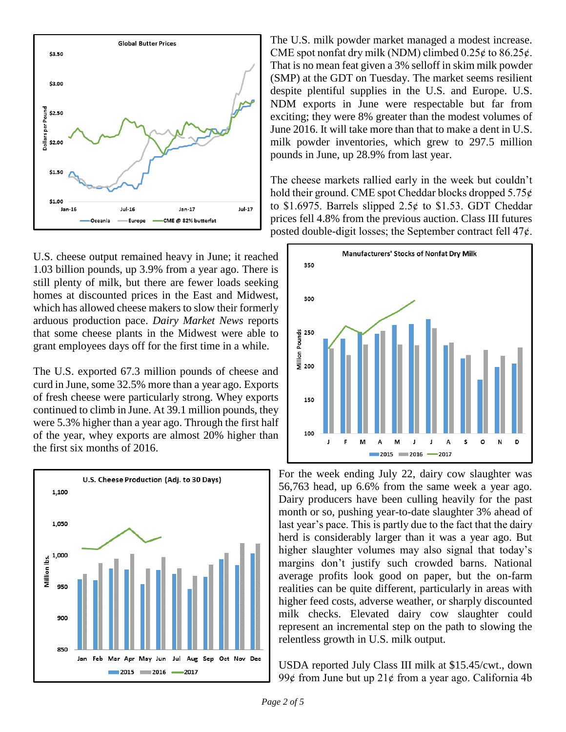

U.S. cheese output remained heavy in June; it reached 1.03 billion pounds, up 3.9% from a year ago. There is still plenty of milk, but there are fewer loads seeking homes at discounted prices in the East and Midwest, which has allowed cheese makers to slow their formerly arduous production pace. *Dairy Market News* reports that some cheese plants in the Midwest were able to grant employees days off for the first time in a while.

The U.S. exported 67.3 million pounds of cheese and curd in June, some 32.5% more than a year ago. Exports of fresh cheese were particularly strong. Whey exports continued to climb in June. At 39.1 million pounds, they were 5.3% higher than a year ago. Through the first half of the year, whey exports are almost 20% higher than the first six months of 2016.



The U.S. milk powder market managed a modest increase. CME spot nonfat dry milk (NDM) climbed  $0.25¢$  to  $86.25¢$ . That is no mean feat given a 3% selloff in skim milk powder (SMP) at the GDT on Tuesday. The market seems resilient despite plentiful supplies in the U.S. and Europe. U.S. NDM exports in June were respectable but far from exciting; they were 8% greater than the modest volumes of June 2016. It will take more than that to make a dent in U.S. milk powder inventories, which grew to 297.5 million pounds in June, up 28.9% from last year.

The cheese markets rallied early in the week but couldn't hold their ground. CME spot Cheddar blocks dropped  $5.75¢$ to \$1.6975. Barrels slipped  $2.5¢$  to \$1.53. GDT Cheddar prices fell 4.8% from the previous auction. Class III futures posted double-digit losses; the September contract fell  $47¢$ .



For the week ending July 22, dairy cow slaughter was 56,763 head, up 6.6% from the same week a year ago. Dairy producers have been culling heavily for the past month or so, pushing year-to-date slaughter 3% ahead of last year's pace. This is partly due to the fact that the dairy herd is considerably larger than it was a year ago. But higher slaughter volumes may also signal that today's margins don't justify such crowded barns. National average profits look good on paper, but the on-farm realities can be quite different, particularly in areas with higher feed costs, adverse weather, or sharply discounted milk checks. Elevated dairy cow slaughter could represent an incremental step on the path to slowing the relentless growth in U.S. milk output.

USDA reported July Class III milk at \$15.45/cwt., down 99 $\ell$  from June but up 21 $\ell$  from a year ago. California 4b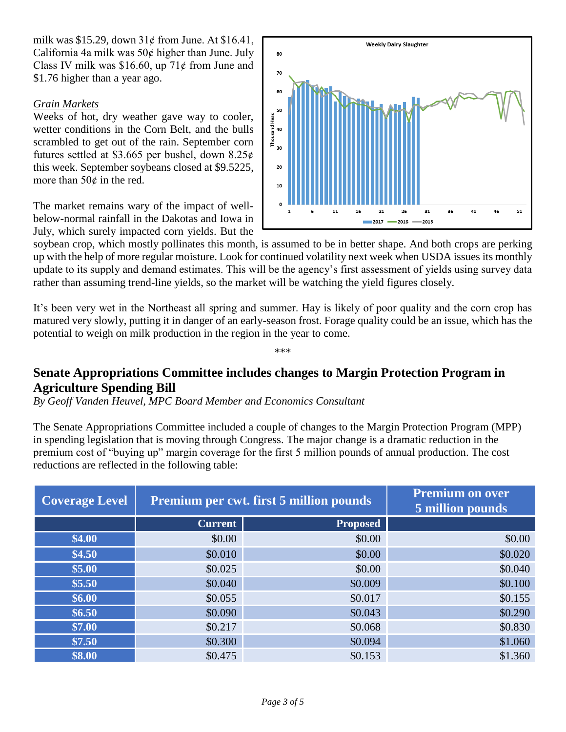milk was \$15.29, down  $31¢$  from June. At \$16.41, California 4a milk was 50¢ higher than June. July Class IV milk was \$16.60, up  $71¢$  from June and \$1.76 higher than a year ago.

#### *Grain Markets*

Weeks of hot, dry weather gave way to cooler, wetter conditions in the Corn Belt, and the bulls scrambled to get out of the rain. September corn futures settled at \$3.665 per bushel, down  $8.25¢$ this week. September soybeans closed at \$9.5225, more than  $50¢$  in the red.

The market remains wary of the impact of wellbelow-normal rainfall in the Dakotas and Iowa in July, which surely impacted corn yields. But the



soybean crop, which mostly pollinates this month, is assumed to be in better shape. And both crops are perking up with the help of more regular moisture. Look for continued volatility next week when USDA issues its monthly update to its supply and demand estimates. This will be the agency's first assessment of yields using survey data rather than assuming trend-line yields, so the market will be watching the yield figures closely.

It's been very wet in the Northeast all spring and summer. Hay is likely of poor quality and the corn crop has matured very slowly, putting it in danger of an early-season frost. Forage quality could be an issue, which has the potential to weigh on milk production in the region in the year to come.

\*\*\*

## **Senate Appropriations Committee includes changes to Margin Protection Program in Agriculture Spending Bill**

*By Geoff Vanden Heuvel, MPC Board Member and Economics Consultant*

The Senate Appropriations Committee included a couple of changes to the Margin Protection Program (MPP) in spending legislation that is moving through Congress. The major change is a dramatic reduction in the premium cost of "buying up" margin coverage for the first 5 million pounds of annual production. The cost reductions are reflected in the following table:

| <b>Coverage Level</b> | <b>Premium per cwt. first 5 million pounds</b> | <b>Premium on over</b><br>5 million pounds |         |
|-----------------------|------------------------------------------------|--------------------------------------------|---------|
|                       | <b>Current</b>                                 | <b>Proposed</b>                            |         |
| \$4.00                | \$0.00                                         | \$0.00                                     | \$0.00  |
| \$4.50                | \$0.010                                        | \$0.00                                     | \$0.020 |
| \$5.00                | \$0.025                                        | \$0.00                                     | \$0.040 |
| \$5.50                | \$0.040                                        | \$0.009                                    | \$0.100 |
| \$6.00                | \$0.055                                        | \$0.017                                    | \$0.155 |
| \$6.50                | \$0.090                                        | \$0.043                                    | \$0.290 |
| \$7.00                | \$0.217                                        | \$0.068                                    | \$0.830 |
| \$7.50                | \$0.300                                        | \$0.094                                    | \$1.060 |
| \$8.00                | \$0.475                                        | \$0.153                                    | \$1.360 |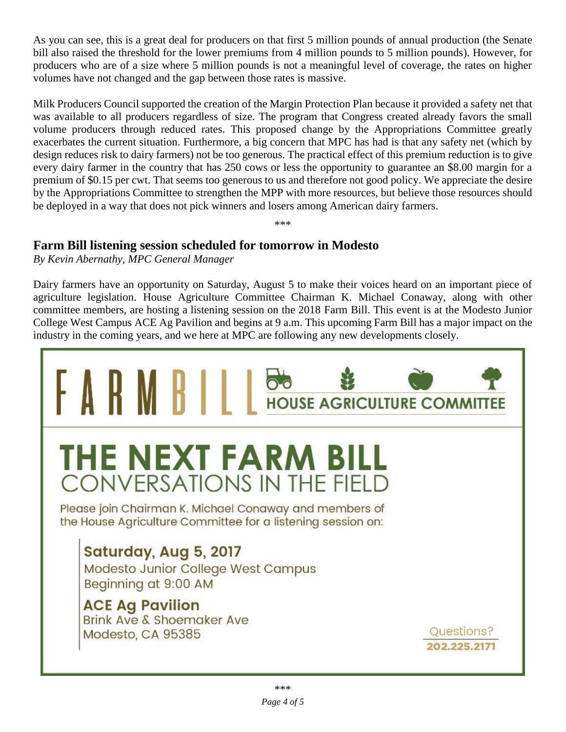As you can see, this is a great deal for producers on that first 5 million pounds of annual production (the Senate bill also raised the threshold for the lower premiums from 4 million pounds to 5 million pounds). However, for producers who are of a size where 5 million pounds is not a meaningful level of coverage, the rates on higher volumes have not changed and the gap between those rates is massive.

Milk Producers Council supported the creation of the Margin Protection Plan because it provided a safety net that was available to all producers regardless of size. The program that Congress created already favors the small volume producers through reduced rates. This proposed change by the Appropriations Committee greatly exacerbates the current situation. Furthermore, a big concern that MPC has had is that any safety net (which by design reduces risk to dairy farmers) not be too generous. The practical effect of this premium reduction is to give every dairy farmer in the country that has 250 cows or less the opportunity to guarantee an \$8.00 margin for a premium of \$0.15 per cwt. That seems too generous to us and therefore not good policy. We appreciate the desire by the Appropriations Committee to strengthen the MPP with more resources, but believe those resources should be deployed in a way that does not pick winners and losers among American dairy farmers.

\*\*\*

## **Farm Bill listening session scheduled for tomorrow in Modesto**

*By Kevin Abernathy, MPC General Manager*

Dairy farmers have an opportunity on Saturday, August 5 to make their voices heard on an important piece of agriculture legislation. House Agriculture Committee Chairman K. Michael Conaway, along with other committee members, are hosting a listening session on the 2018 Farm Bill. This event is at the Modesto Junior College West Campus ACE Ag Pavilion and begins at 9 a.m. This upcoming Farm Bill has a major impact on the industry in the coming years, and we here at MPC are following any new developments closely.